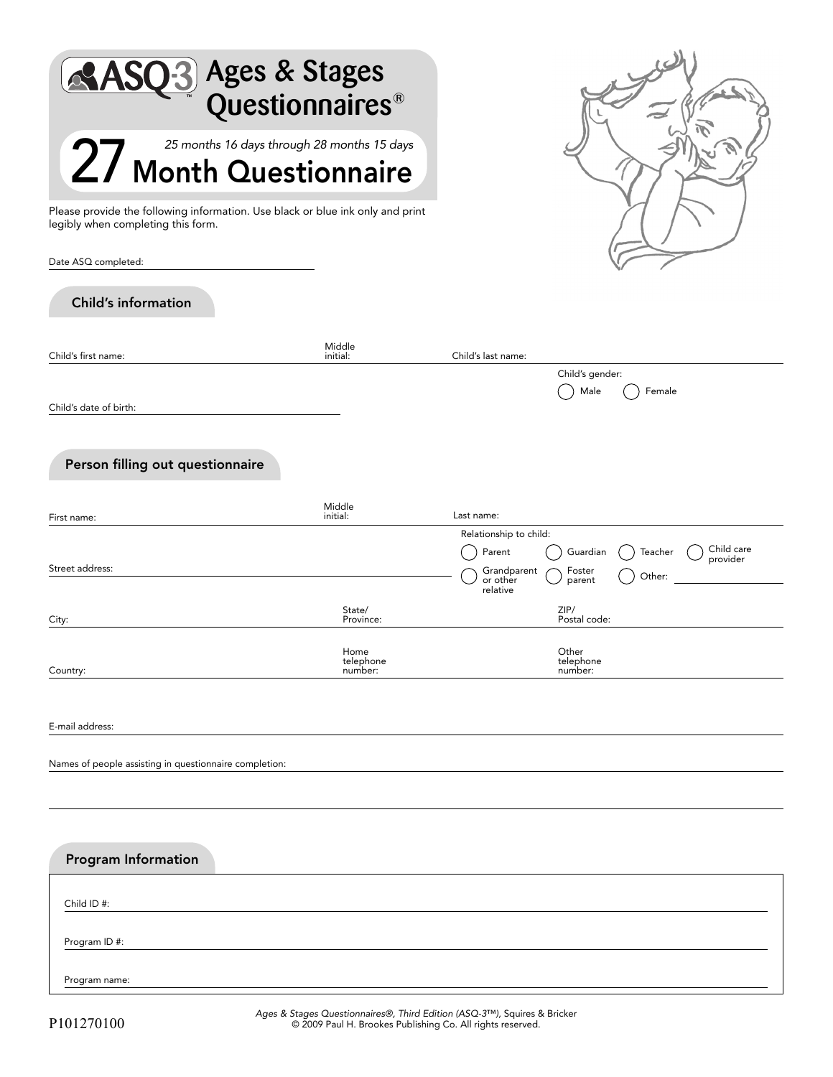| <b>O3</b> Ages & Stages<br>Questionnaires <sup>®</sup>                                                               |                              |                                                                                            |  |
|----------------------------------------------------------------------------------------------------------------------|------------------------------|--------------------------------------------------------------------------------------------|--|
| 25 months 16 days through 28 months 15 days<br>27 Month Questionnaire                                                |                              |                                                                                            |  |
| Please provide the following information. Use black or blue ink only and print<br>legibly when completing this form. |                              |                                                                                            |  |
| Date ASQ completed:<br><b>Child's information</b>                                                                    |                              |                                                                                            |  |
|                                                                                                                      | Middle                       |                                                                                            |  |
| Child's first name:                                                                                                  | initial:                     | Child's last name:<br>Child's gender:                                                      |  |
| Child's date of birth:                                                                                               |                              | Female<br>Male                                                                             |  |
| Person filling out questionnaire                                                                                     |                              |                                                                                            |  |
| First name:                                                                                                          | Middle<br>initial:           | Last name:                                                                                 |  |
|                                                                                                                      |                              | Relationship to child:                                                                     |  |
| Street address:                                                                                                      |                              | Child care<br>Parent<br>Guardian<br>Teacher<br>provider<br>Grandparent<br>Foster<br>Other: |  |
|                                                                                                                      |                              | or other<br>parent<br>relative                                                             |  |
| City:                                                                                                                | State/<br>Province:          | ZIP/<br>Postal code:                                                                       |  |
| Country:                                                                                                             | Home<br>telephone<br>number: | Other<br>telephone<br>number:                                                              |  |
| E-mail address:                                                                                                      |                              |                                                                                            |  |
| Names of people assisting in questionnaire completion:                                                               |                              |                                                                                            |  |
|                                                                                                                      |                              |                                                                                            |  |
| Program Information                                                                                                  |                              |                                                                                            |  |
| Child ID #:                                                                                                          |                              |                                                                                            |  |
| Program ID #:                                                                                                        |                              |                                                                                            |  |

Program name: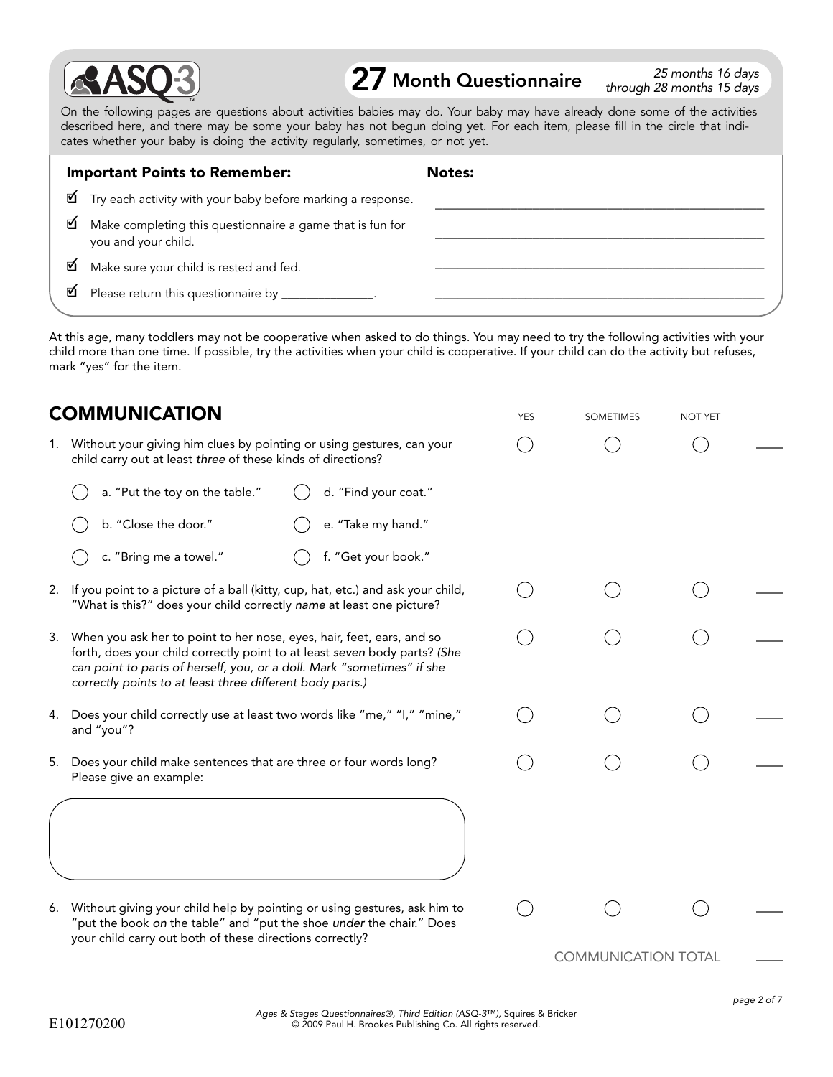

 $27$  Month Questionnaire  $\frac{25 \text{ months 16 days}}{38 \text{ months 15 days}}$ 

through 28 months 15 days

On the following pages are questions about activities babies may do. Your baby may have already done some of the activities described here, and there may be some your baby has not begun doing yet. For each item, please fill in the circle that indicates whether your baby is doing the activity regularly, sometimes, or not yet.

|   | <b>Important Points to Remember:</b>                                             | Notes: |  |
|---|----------------------------------------------------------------------------------|--------|--|
|   | $\blacksquare$ Try each activity with your baby before marking a response.       |        |  |
| ☑ | Make completing this questionnaire a game that is fun for<br>you and your child. |        |  |
| ☑ | Make sure your child is rested and fed.                                          |        |  |
|   | Please return this questionnaire by _______________.                             |        |  |
|   |                                                                                  |        |  |

At this age, many toddlers may not be cooperative when asked to do things. You may need to try the following activities with your child more than one time. If possible, try the activities when your child is cooperative. If your child can do the activity but refuses, mark "yes" for the item.

|    | <b>COMMUNICATION</b>                                                                                                                                                                                                                                                                         | <b>YES</b> | <b>SOMETIMES</b>           | <b>NOT YET</b> |  |
|----|----------------------------------------------------------------------------------------------------------------------------------------------------------------------------------------------------------------------------------------------------------------------------------------------|------------|----------------------------|----------------|--|
|    | 1. Without your giving him clues by pointing or using gestures, can your<br>child carry out at least three of these kinds of directions?                                                                                                                                                     |            |                            |                |  |
|    | a. "Put the toy on the table."<br>d. "Find your coat."                                                                                                                                                                                                                                       |            |                            |                |  |
|    | b. "Close the door."<br>e. "Take my hand."                                                                                                                                                                                                                                                   |            |                            |                |  |
|    | f. "Get your book."<br>c. "Bring me a towel."                                                                                                                                                                                                                                                |            |                            |                |  |
|    | 2. If you point to a picture of a ball (kitty, cup, hat, etc.) and ask your child,<br>"What is this?" does your child correctly name at least one picture?                                                                                                                                   |            |                            |                |  |
|    | 3. When you ask her to point to her nose, eyes, hair, feet, ears, and so<br>forth, does your child correctly point to at least seven body parts? (She<br>can point to parts of herself, you, or a doll. Mark "sometimes" if she<br>correctly points to at least three different body parts.) |            |                            |                |  |
| 4. | Does your child correctly use at least two words like "me," "I," "mine,"<br>and "you"?                                                                                                                                                                                                       |            |                            |                |  |
| 5. | Does your child make sentences that are three or four words long?<br>Please give an example:                                                                                                                                                                                                 |            |                            |                |  |
|    |                                                                                                                                                                                                                                                                                              |            |                            |                |  |
|    | 6. Without giving your child help by pointing or using gestures, ask him to<br>"put the book on the table" and "put the shoe under the chair." Does<br>your child carry out both of these directions correctly?                                                                              |            |                            |                |  |
|    |                                                                                                                                                                                                                                                                                              |            | <b>COMMUNICATION TOTAL</b> |                |  |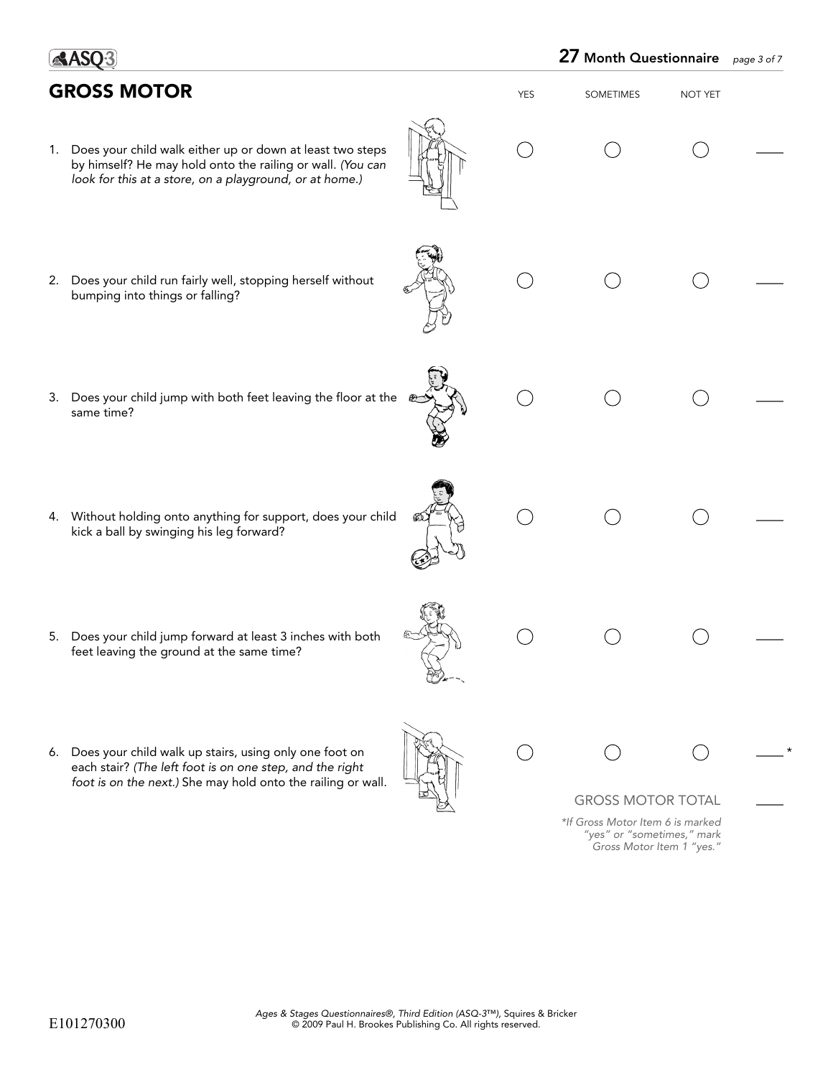|    | <b>GROSS MOTOR</b>                                                                                                                                                                    | YES | <b>SOMETIMES</b>                                                                            | NOT YET |  |
|----|---------------------------------------------------------------------------------------------------------------------------------------------------------------------------------------|-----|---------------------------------------------------------------------------------------------|---------|--|
|    | 1. Does your child walk either up or down at least two steps<br>by himself? He may hold onto the railing or wall. (You can<br>look for this at a store, on a playground, or at home.) |     |                                                                                             |         |  |
|    | 2. Does your child run fairly well, stopping herself without<br>bumping into things or falling?                                                                                       |     |                                                                                             |         |  |
| 3. | Does your child jump with both feet leaving the floor at the<br>உ<br>same time?                                                                                                       |     |                                                                                             |         |  |
|    | 4. Without holding onto anything for support, does your child<br>kick a ball by swinging his leg forward?                                                                             |     |                                                                                             |         |  |
|    | 5. Does your child jump forward at least 3 inches with both<br>feet leaving the ground at the same time?                                                                              |     |                                                                                             |         |  |
|    | 6. Does your child walk up stairs, using only one foot on<br>each stair? (The left foot is on one step, and the right<br>foot is on the next.) She may hold onto the railing or wall. |     | <b>GROSS MOTOR TOTAL</b>                                                                    |         |  |
|    |                                                                                                                                                                                       |     | *If Gross Motor Item 6 is marked<br>"yes" or "sometimes," mark<br>Gross Motor Item 1 "yes." |         |  |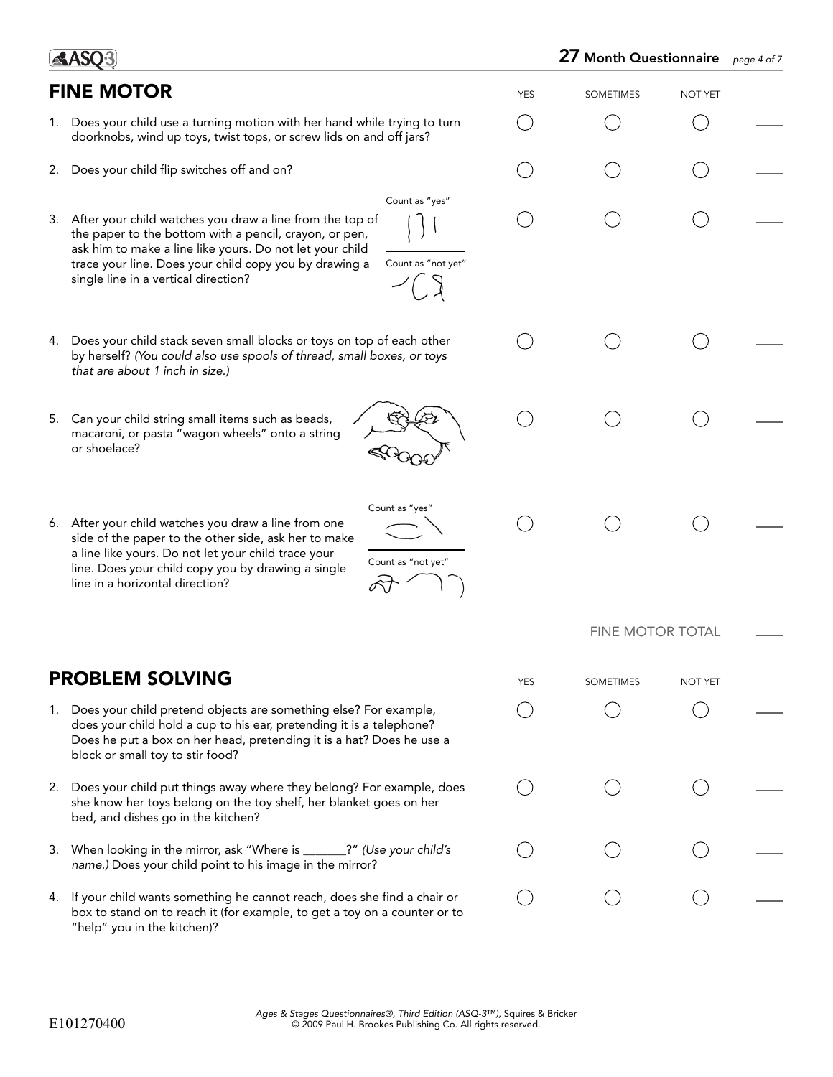|    |                                                                                                                                                                                                                                                                                                                             |            | 27 Month Questionnaire  |                | page 4 of 7 |
|----|-----------------------------------------------------------------------------------------------------------------------------------------------------------------------------------------------------------------------------------------------------------------------------------------------------------------------------|------------|-------------------------|----------------|-------------|
|    | <b>FINE MOTOR</b>                                                                                                                                                                                                                                                                                                           | <b>YES</b> | <b>SOMETIMES</b>        | <b>NOT YET</b> |             |
|    | 1. Does your child use a turning motion with her hand while trying to turn<br>doorknobs, wind up toys, twist tops, or screw lids on and off jars?                                                                                                                                                                           |            |                         |                |             |
| 2. | Does your child flip switches off and on?                                                                                                                                                                                                                                                                                   |            |                         |                |             |
|    | Count as "yes"<br>3. After your child watches you draw a line from the top of<br>the paper to the bottom with a pencil, crayon, or pen,<br>ask him to make a line like yours. Do not let your child<br>Count as "not yet"<br>trace your line. Does your child copy you by drawing a<br>single line in a vertical direction? |            |                         |                |             |
|    | 4. Does your child stack seven small blocks or toys on top of each other<br>by herself? (You could also use spools of thread, small boxes, or toys<br>that are about 1 inch in size.)                                                                                                                                       |            |                         |                |             |
|    | 5. Can your child string small items such as beads,<br>macaroni, or pasta "wagon wheels" onto a string<br>or shoelace?                                                                                                                                                                                                      |            |                         |                |             |
|    | Count as "yes"<br>6. After your child watches you draw a line from one<br>side of the paper to the other side, ask her to make<br>a line like yours. Do not let your child trace your<br>Count as "not yet"<br>line. Does your child copy you by drawing a single<br>line in a horizontal direction?                        |            |                         |                |             |
|    |                                                                                                                                                                                                                                                                                                                             |            | <b>FINE MOTOR TOTAL</b> |                |             |
|    | <b>PROBLEM SOLVING</b>                                                                                                                                                                                                                                                                                                      | <b>YES</b> | <b>SOMETIMES</b>        | <b>NOT YET</b> |             |
| 1. | Does your child pretend objects are something else? For example,<br>does your child hold a cup to his ear, pretending it is a telephone?<br>Does he put a box on her head, pretending it is a hat? Does he use a<br>block or small toy to stir food?                                                                        |            |                         |                |             |
|    | 2. Does your child put things away where they belong? For example, does<br>she know her toys belong on the toy shelf, her blanket goes on her<br>bed, and dishes go in the kitchen?                                                                                                                                         |            |                         |                |             |
|    | 3. When looking in the mirror, ask "Where is ______?" (Use your child's<br>name.) Does your child point to his image in the mirror?                                                                                                                                                                                         |            |                         |                |             |
|    | 4. If your child wants something he cannot reach, does she find a chair or<br>box to stand on to reach it (for example, to get a toy on a counter or to<br>"help" you in the kitchen)?                                                                                                                                      |            |                         |                |             |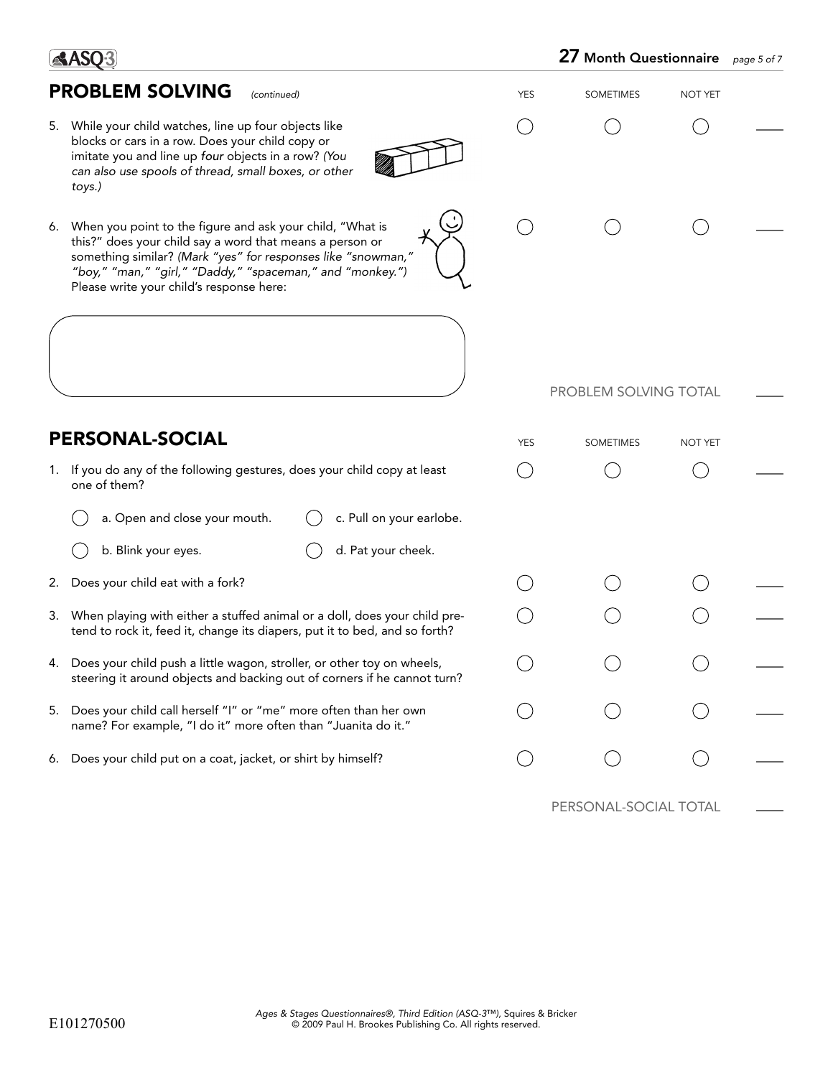| <b>PROBLEM SOLVING</b><br>(continued)                                                                                                                                                                                                                                                             | <b>YES</b> | <b>SOMETIMES</b>      | <b>NOT YET</b> |  |
|---------------------------------------------------------------------------------------------------------------------------------------------------------------------------------------------------------------------------------------------------------------------------------------------------|------------|-----------------------|----------------|--|
| 5. While your child watches, line up four objects like<br>blocks or cars in a row. Does your child copy or<br>imitate you and line up four objects in a row? (You<br>can also use spools of thread, small boxes, or other<br>toys.)                                                               |            |                       |                |  |
| 6. When you point to the figure and ask your child, "What is<br>this?" does your child say a word that means a person or<br>something similar? (Mark "yes" for responses like "snowman,"<br>"boy," "man," "girl," "Daddy," "spaceman," and "monkey.")<br>Please write your child's response here: |            |                       |                |  |
|                                                                                                                                                                                                                                                                                                   |            | PROBLEM SOLVING TOTAL |                |  |
| <b>PERSONAL-SOCIAL</b>                                                                                                                                                                                                                                                                            | <b>YES</b> | <b>SOMETIMES</b>      | <b>NOT YET</b> |  |
| If you do any of the following gestures, does your child copy at least<br>1.<br>one of them?                                                                                                                                                                                                      |            |                       |                |  |
| c. Pull on your earlobe.<br>a. Open and close your mouth.                                                                                                                                                                                                                                         |            |                       |                |  |
| b. Blink your eyes.<br>d. Pat your cheek.                                                                                                                                                                                                                                                         |            |                       |                |  |
| Does your child eat with a fork?<br>2.                                                                                                                                                                                                                                                            |            |                       |                |  |
| 3. When playing with either a stuffed animal or a doll, does your child pre-<br>tend to rock it, feed it, change its diapers, put it to bed, and so forth?                                                                                                                                        |            |                       |                |  |
| Does your child push a little wagon, stroller, or other toy on wheels,<br>4.<br>steering it around objects and backing out of corners if he cannot turn?                                                                                                                                          |            |                       |                |  |
| Does your child call herself "I" or "me" more often than her own<br>5.<br>name? For example, "I do it" more often than "Juanita do it."                                                                                                                                                           |            |                       |                |  |
| Does your child put on a coat, jacket, or shirt by himself?<br>6.                                                                                                                                                                                                                                 |            |                       |                |  |
|                                                                                                                                                                                                                                                                                                   |            | PERSONAL-SOCIAL TOTAL |                |  |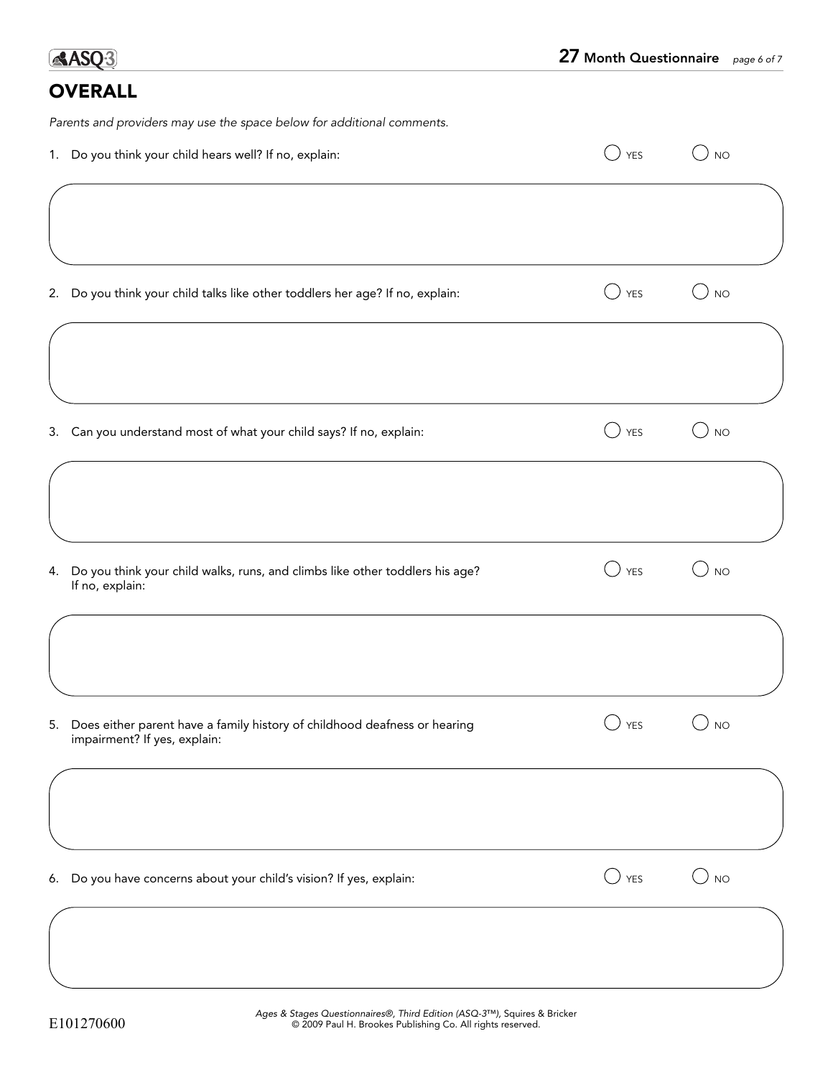## **OVERALL**

Parents and providers may use the space below for additional comments.

| 1. Do you think your child hears well? If no, explain:                                                       | YES            | <b>NO</b>                  |
|--------------------------------------------------------------------------------------------------------------|----------------|----------------------------|
|                                                                                                              |                |                            |
| 2. Do you think your child talks like other toddlers her age? If no, explain:                                | <b>YES</b>     | <b>NO</b><br>$\rightarrow$ |
|                                                                                                              |                |                            |
| 3. Can you understand most of what your child says? If no, explain:                                          | <b>YES</b>     | <b>NO</b><br>$\rightarrow$ |
|                                                                                                              |                |                            |
| 4. Do you think your child walks, runs, and climbs like other toddlers his age?<br>If no, explain:           | <b>YES</b>     | <b>NO</b>                  |
|                                                                                                              |                |                            |
| 5. Does either parent have a family history of childhood deafness or hearing<br>impairment? If yes, explain: | <b>YES</b>     | <b>NO</b>                  |
|                                                                                                              |                |                            |
| 6. Do you have concerns about your child's vision? If yes, explain:                                          | $\bigcirc$ yes | $\bigcirc$ no              |
|                                                                                                              |                |                            |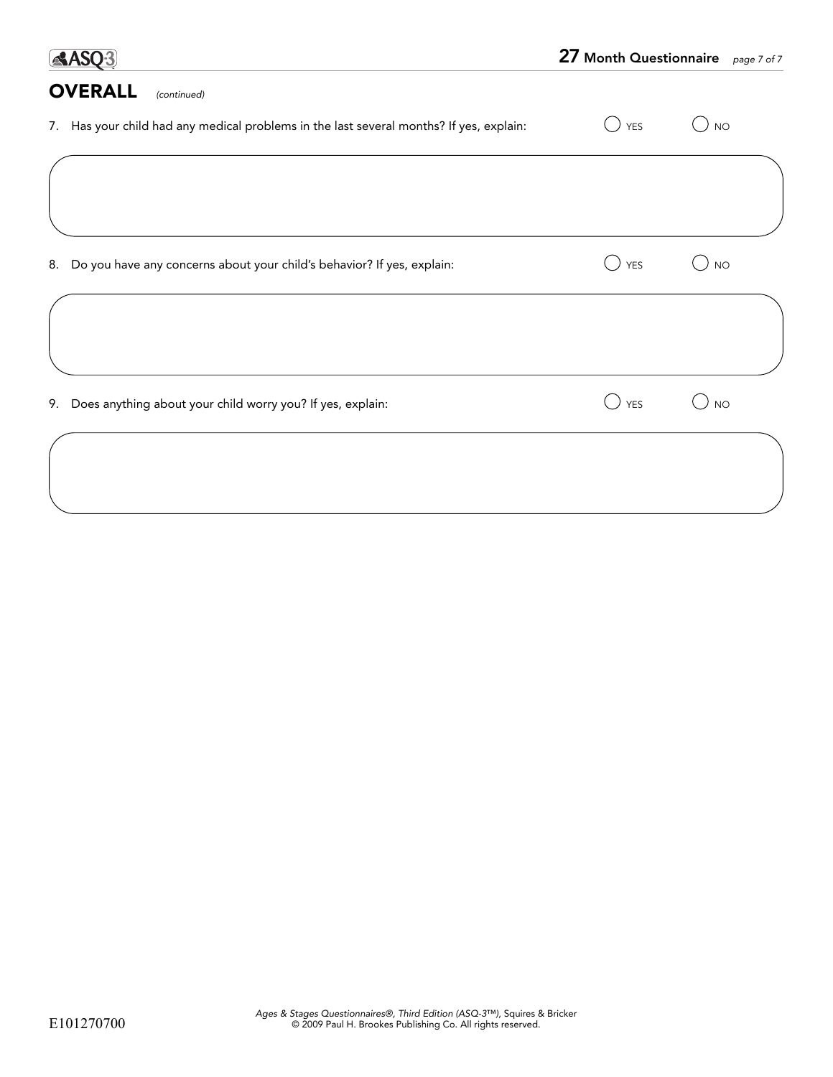| <b>AASO3</b>                                                                            | 27 Month Questionnaire page 7 of 7 |           |
|-----------------------------------------------------------------------------------------|------------------------------------|-----------|
| <b>OVERALL</b><br>(continued)                                                           |                                    |           |
| 7. Has your child had any medical problems in the last several months? If yes, explain: | <b>YES</b>                         | <b>NO</b> |
|                                                                                         |                                    |           |
| Do you have any concerns about your child's behavior? If yes, explain:<br>8.            | <b>YES</b>                         | <b>NO</b> |
|                                                                                         |                                    |           |
| Does anything about your child worry you? If yes, explain:<br>9.                        | <b>YES</b>                         | <b>NO</b> |
|                                                                                         |                                    |           |